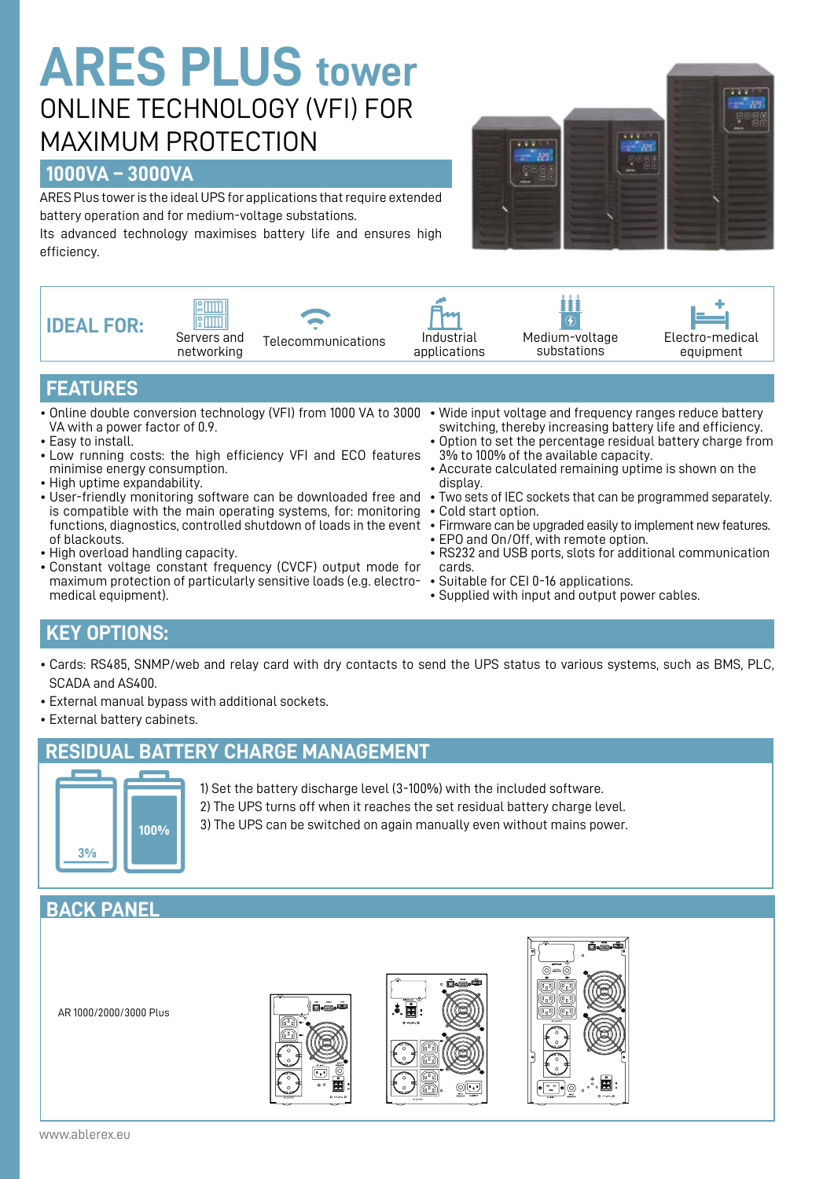# **ARES PLUS tower** ONLINE TECHNOLOGY (VFI) FOR MAXIMUM PROTECTION

#### **1000VA – 3000VA**

ARES Plus tower is the ideal UPS for applications that require extended battery operation and for medium-voltage substations.

Its advanced technology maximises battery life and ensures high efficiency.





- High overload handling capacity.
- Constant voltage constant frequency (CVCF) output mode for maximum protection of particularly sensitive loads (e.g. electromedical equipment).
- EPO and On/Off, with remote option.
- RS232 and USB ports, slots for additional communication cards.
- Suitable for CEI 0-16 applications.
- Supplied with input and output power cables.

### **KEY OPTIONS:**

- Cards: RS485, SNMP/web and relay card with dry contacts to send the UPS status to various systems, such as BMS, PLC, SCADA and AS400.
- External manual bypass with additional sockets.
- External battery cabinets.

#### **RESIDUAL BATTERY CHARGE MANAGEMENT**



1) Set the battery discharge level (3-100%) with the included software. 2) The UPS turns off when it reaches the set residual battery charge level. 3) The UPS can be switched on again manually even without mains power.

## **BACK PANEL**

AR 1000/2000/3000 Plus